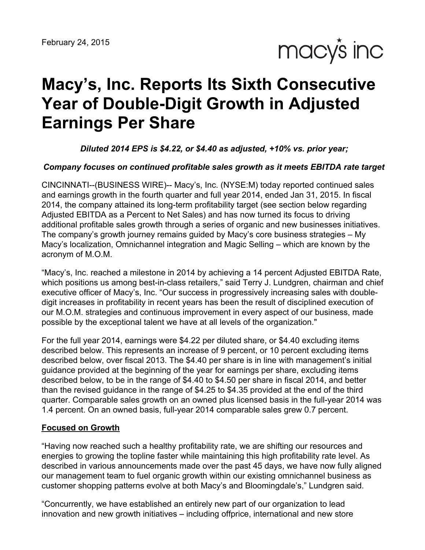

# **Macy's, Inc. Reports Its Sixth Consecutive Year of Double-Digit Growth in Adjusted Earnings Per Share**

#### *Diluted 2014 EPS is \$4.22, or \$4.40 as adjusted, +10% vs. prior year;*

#### *Company focuses on continued profitable sales growth as it meets EBITDA rate target*

CINCINNATI--(BUSINESS WIRE)-- Macy's, Inc. (NYSE:M) today reported continued sales and earnings growth in the fourth quarter and full year 2014, ended Jan 31, 2015. In fiscal 2014, the company attained its long-term profitability target (see section below regarding Adjusted EBITDA as a Percent to Net Sales) and has now turned its focus to driving additional profitable sales growth through a series of organic and new businesses initiatives. The company's growth journey remains guided by Macy's core business strategies – My Macy's localization, Omnichannel integration and Magic Selling – which are known by the acronym of M.O.M.

"Macy's, Inc. reached a milestone in 2014 by achieving a 14 percent Adjusted EBITDA Rate, which positions us among best-in-class retailers," said Terry J. Lundgren, chairman and chief executive officer of Macy's, Inc. "Our success in progressively increasing sales with doubledigit increases in profitability in recent years has been the result of disciplined execution of our M.O.M. strategies and continuous improvement in every aspect of our business, made possible by the exceptional talent we have at all levels of the organization."

For the full year 2014, earnings were \$4.22 per diluted share, or \$4.40 excluding items described below. This represents an increase of 9 percent, or 10 percent excluding items described below, over fiscal 2013. The \$4.40 per share is in line with management's initial guidance provided at the beginning of the year for earnings per share, excluding items described below, to be in the range of \$4.40 to \$4.50 per share in fiscal 2014, and better than the revised guidance in the range of \$4.25 to \$4.35 provided at the end of the third quarter. Comparable sales growth on an owned plus licensed basis in the full-year 2014 was 1.4 percent. On an owned basis, full-year 2014 comparable sales grew 0.7 percent.

#### **Focused on Growth**

"Having now reached such a healthy profitability rate, we are shifting our resources and energies to growing the topline faster while maintaining this high profitability rate level. As described in various announcements made over the past 45 days, we have now fully aligned our management team to fuel organic growth within our existing omnichannel business as customer shopping patterns evolve at both Macy's and Bloomingdale's," Lundgren said.

"Concurrently, we have established an entirely new part of our organization to lead innovation and new growth initiatives – including offprice, international and new store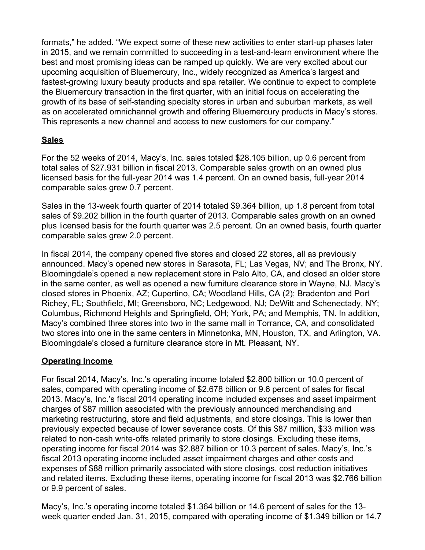formats," he added. "We expect some of these new activities to enter start-up phases later in 2015, and we remain committed to succeeding in a test-and-learn environment where the best and most promising ideas can be ramped up quickly. We are very excited about our upcoming acquisition of Bluemercury, Inc., widely recognized as America's largest and fastest-growing luxury beauty products and spa retailer. We continue to expect to complete the Bluemercury transaction in the first quarter, with an initial focus on accelerating the growth of its base of self-standing specialty stores in urban and suburban markets, as well as on accelerated omnichannel growth and offering Bluemercury products in Macy's stores. This represents a new channel and access to new customers for our company."

#### **Sales**

For the 52 weeks of 2014, Macy's, Inc. sales totaled \$28.105 billion, up 0.6 percent from total sales of \$27.931 billion in fiscal 2013. Comparable sales growth on an owned plus licensed basis for the full-year 2014 was 1.4 percent. On an owned basis, full-year 2014 comparable sales grew 0.7 percent.

Sales in the 13-week fourth quarter of 2014 totaled \$9.364 billion, up 1.8 percent from total sales of \$9.202 billion in the fourth quarter of 2013. Comparable sales growth on an owned plus licensed basis for the fourth quarter was 2.5 percent. On an owned basis, fourth quarter comparable sales grew 2.0 percent.

In fiscal 2014, the company opened five stores and closed 22 stores, all as previously announced. Macy's opened new stores in Sarasota, FL; Las Vegas, NV; and The Bronx, NY. Bloomingdale's opened a new replacement store in Palo Alto, CA, and closed an older store in the same center, as well as opened a new furniture clearance store in Wayne, NJ. Macy's closed stores in Phoenix, AZ; Cupertino, CA; Woodland Hills, CA (2); Bradenton and Port Richey, FL; Southfield, MI; Greensboro, NC; Ledgewood, NJ; DeWitt and Schenectady, NY; Columbus, Richmond Heights and Springfield, OH; York, PA; and Memphis, TN. In addition, Macy's combined three stores into two in the same mall in Torrance, CA, and consolidated two stores into one in the same centers in Minnetonka, MN, Houston, TX, and Arlington, VA. Bloomingdale's closed a furniture clearance store in Mt. Pleasant, NY.

# **Operating Income**

For fiscal 2014, Macy's, Inc.'s operating income totaled \$2.800 billion or 10.0 percent of sales, compared with operating income of \$2.678 billion or 9.6 percent of sales for fiscal 2013. Macy's, Inc.'s fiscal 2014 operating income included expenses and asset impairment charges of \$87 million associated with the previously announced merchandising and marketing restructuring, store and field adjustments, and store closings. This is lower than previously expected because of lower severance costs. Of this \$87 million, \$33 million was related to non-cash write-offs related primarily to store closings. Excluding these items, operating income for fiscal 2014 was \$2.887 billion or 10.3 percent of sales. Macy's, Inc.'s fiscal 2013 operating income included asset impairment charges and other costs and expenses of \$88 million primarily associated with store closings, cost reduction initiatives and related items. Excluding these items, operating income for fiscal 2013 was \$2.766 billion or 9.9 percent of sales.

Macy's, Inc.'s operating income totaled \$1.364 billion or 14.6 percent of sales for the 13 week quarter ended Jan. 31, 2015, compared with operating income of \$1.349 billion or 14.7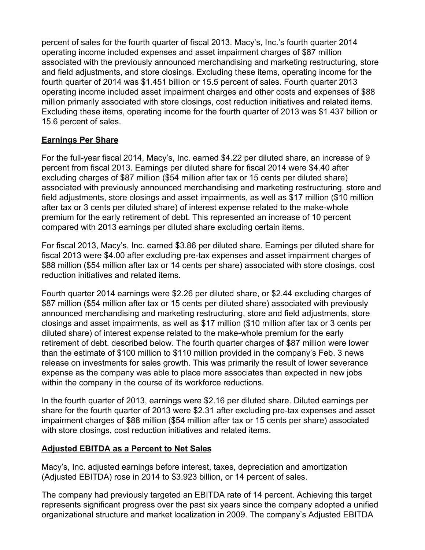percent of sales for the fourth quarter of fiscal 2013. Macy's, Inc.'s fourth quarter 2014 operating income included expenses and asset impairment charges of \$87 million associated with the previously announced merchandising and marketing restructuring, store and field adjustments, and store closings. Excluding these items, operating income for the fourth quarter of 2014 was \$1.451 billion or 15.5 percent of sales. Fourth quarter 2013 operating income included asset impairment charges and other costs and expenses of \$88 million primarily associated with store closings, cost reduction initiatives and related items. Excluding these items, operating income for the fourth quarter of 2013 was \$1.437 billion or 15.6 percent of sales.

# **Earnings Per Share**

For the full-year fiscal 2014, Macy's, Inc. earned \$4.22 per diluted share, an increase of 9 percent from fiscal 2013. Earnings per diluted share for fiscal 2014 were \$4.40 after excluding charges of \$87 million (\$54 million after tax or 15 cents per diluted share) associated with previously announced merchandising and marketing restructuring, store and field adjustments, store closings and asset impairments, as well as \$17 million (\$10 million after tax or 3 cents per diluted share) of interest expense related to the make-whole premium for the early retirement of debt. This represented an increase of 10 percent compared with 2013 earnings per diluted share excluding certain items.

For fiscal 2013, Macy's, Inc. earned \$3.86 per diluted share. Earnings per diluted share for fiscal 2013 were \$4.00 after excluding pre-tax expenses and asset impairment charges of \$88 million (\$54 million after tax or 14 cents per share) associated with store closings, cost reduction initiatives and related items.

Fourth quarter 2014 earnings were \$2.26 per diluted share, or \$2.44 excluding charges of \$87 million (\$54 million after tax or 15 cents per diluted share) associated with previously announced merchandising and marketing restructuring, store and field adjustments, store closings and asset impairments, as well as \$17 million (\$10 million after tax or 3 cents per diluted share) of interest expense related to the make-whole premium for the early retirement of debt. described below. The fourth quarter charges of \$87 million were lower than the estimate of \$100 million to \$110 million provided in the company's Feb. 3 news release on investments for sales growth. This was primarily the result of lower severance expense as the company was able to place more associates than expected in new jobs within the company in the course of its workforce reductions.

In the fourth quarter of 2013, earnings were \$2.16 per diluted share. Diluted earnings per share for the fourth quarter of 2013 were \$2.31 after excluding pre-tax expenses and asset impairment charges of \$88 million (\$54 million after tax or 15 cents per share) associated with store closings, cost reduction initiatives and related items.

# **Adjusted EBITDA as a Percent to Net Sales**

Macy's, Inc. adjusted earnings before interest, taxes, depreciation and amortization (Adjusted EBITDA) rose in 2014 to \$3.923 billion, or 14 percent of sales.

The company had previously targeted an EBITDA rate of 14 percent. Achieving this target represents significant progress over the past six years since the company adopted a unified organizational structure and market localization in 2009. The company's Adjusted EBITDA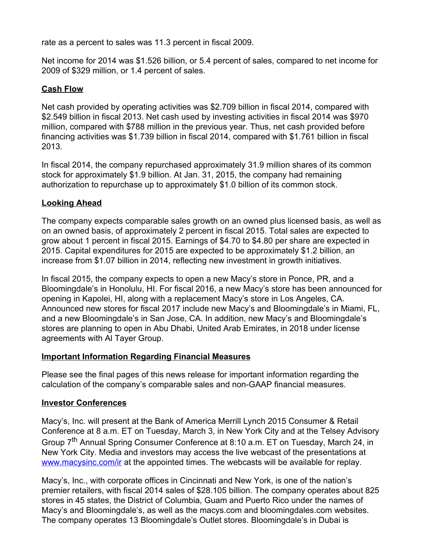rate as a percent to sales was 11.3 percent in fiscal 2009.

Net income for 2014 was \$1.526 billion, or 5.4 percent of sales, compared to net income for 2009 of \$329 million, or 1.4 percent of sales.

# **Cash Flow**

Net cash provided by operating activities was \$2.709 billion in fiscal 2014, compared with \$2.549 billion in fiscal 2013. Net cash used by investing activities in fiscal 2014 was \$970 million, compared with \$788 million in the previous year. Thus, net cash provided before financing activities was \$1.739 billion in fiscal 2014, compared with \$1.761 billion in fiscal 2013.

In fiscal 2014, the company repurchased approximately 31.9 million shares of its common stock for approximately \$1.9 billion. At Jan. 31, 2015, the company had remaining authorization to repurchase up to approximately \$1.0 billion of its common stock.

# **Looking Ahead**

The company expects comparable sales growth on an owned plus licensed basis, as well as on an owned basis, of approximately 2 percent in fiscal 2015. Total sales are expected to grow about 1 percent in fiscal 2015. Earnings of \$4.70 to \$4.80 per share are expected in 2015. Capital expenditures for 2015 are expected to be approximately \$1.2 billion, an increase from \$1.07 billion in 2014, reflecting new investment in growth initiatives.

In fiscal 2015, the company expects to open a new Macy's store in Ponce, PR, and a Bloomingdale's in Honolulu, HI. For fiscal 2016, a new Macy's store has been announced for opening in Kapolei, HI, along with a replacement Macy's store in Los Angeles, CA. Announced new stores for fiscal 2017 include new Macy's and Bloomingdale's in Miami, FL, and a new Bloomingdale's in San Jose, CA. In addition, new Macy's and Bloomingdale's stores are planning to open in Abu Dhabi, United Arab Emirates, in 2018 under license agreements with Al Tayer Group.

# **Important Information Regarding Financial Measures**

Please see the final pages of this news release for important information regarding the calculation of the company's comparable sales and non-GAAP financial measures.

# **Investor Conferences**

Macy's, Inc. will present at the Bank of America Merrill Lynch 2015 Consumer & Retail Conference at 8 a.m. ET on Tuesday, March 3, in New York City and at the Telsey Advisory Group 7<sup>th</sup> Annual Spring Consumer Conference at 8:10 a.m. ET on Tuesday, March 24, in New York City. Media and investors may access the live webcast of the presentations at [www.macysinc.com/ir](http://www.macysinc.com/ir) at the appointed times. The webcasts will be available for replay.

Macy's, Inc., with corporate offices in Cincinnati and New York, is one of the nation's premier retailers, with fiscal 2014 sales of \$28.105 billion. The company operates about 825 stores in 45 states, the District of Columbia, Guam and Puerto Rico under the names of Macy's and Bloomingdale's, as well as the macys.com and bloomingdales.com websites. The company operates 13 Bloomingdale's Outlet stores. Bloomingdale's in Dubai is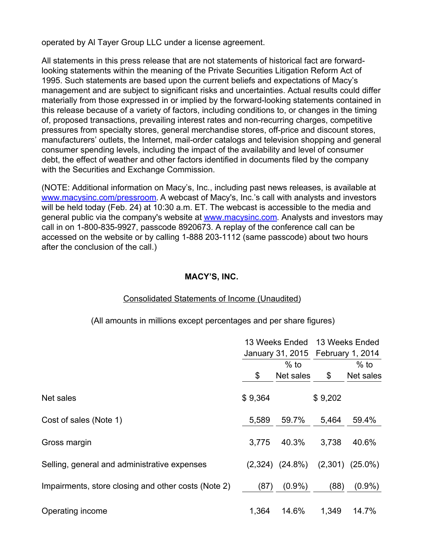operated by Al Tayer Group LLC under a license agreement.

All statements in this press release that are not statements of historical fact are forwardlooking statements within the meaning of the Private Securities Litigation Reform Act of 1995. Such statements are based upon the current beliefs and expectations of Macy's management and are subject to significant risks and uncertainties. Actual results could differ materially from those expressed in or implied by the forward-looking statements contained in this release because of a variety of factors, including conditions to, or changes in the timing of, proposed transactions, prevailing interest rates and non-recurring charges, competitive pressures from specialty stores, general merchandise stores, off-price and discount stores, manufacturers' outlets, the Internet, mail-order catalogs and television shopping and general consumer spending levels, including the impact of the availability and level of consumer debt, the effect of weather and other factors identified in documents filed by the company with the Securities and Exchange Commission.

(NOTE: Additional information on Macy's, Inc., including past news releases, is available at [www.macysinc.com/pressroom](http://www.macysinc.com/pressroom). A webcast of Macy's, Inc.'s call with analysts and investors will be held today (Feb. 24) at 10:30 a.m. ET. The webcast is accessible to the media and general public via the company's website at **[www.macysinc.com](http://www.macysinc.com)**. Analysts and investors may call in on 1-800-835-9927, passcode 8920673. A replay of the conference call can be accessed on the website or by calling 1-888 203-1112 (same passcode) about two hours after the conclusion of the call.)

#### **MACY'S, INC.**

#### Consolidated Statements of Income (Unaudited)

(All amounts in millions except percentages and per share figures)

|                                                     |         | 13 Weeks Ended       | 13 Weeks Ended<br>January 31, 2015 February 1, 2014 |                      |  |
|-----------------------------------------------------|---------|----------------------|-----------------------------------------------------|----------------------|--|
|                                                     | \$      | $%$ to<br>Net sales  | \$                                                  | $%$ to<br>Net sales  |  |
| Net sales                                           | \$9,364 |                      | \$9,202                                             |                      |  |
| Cost of sales (Note 1)                              | 5,589   | 59.7%                | 5,464                                               | 59.4%                |  |
| Gross margin                                        | 3,775   | 40.3%                | 3,738                                               | 40.6%                |  |
| Selling, general and administrative expenses        |         | $(2,324)$ $(24.8\%)$ |                                                     | $(2,301)$ $(25.0\%)$ |  |
| Impairments, store closing and other costs (Note 2) | (87)    | $(0.9\%)$            | (88)                                                | $(0.9\%)$            |  |
| Operating income                                    | 1,364   | 14.6%                | 1,349                                               | 14.7%                |  |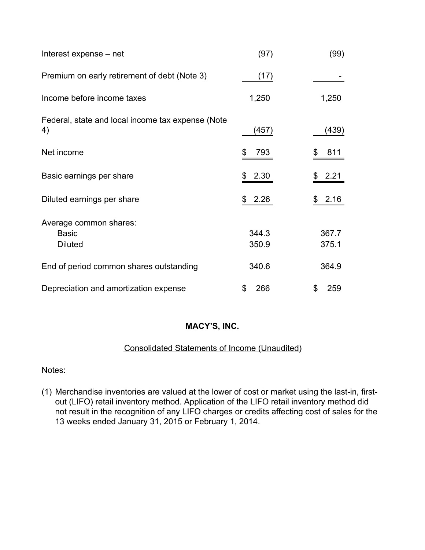| Interest expense – net                                   | (97)           | (99)           |
|----------------------------------------------------------|----------------|----------------|
| Premium on early retirement of debt (Note 3)             | (17)           |                |
| Income before income taxes                               | 1,250          | 1,250          |
| Federal, state and local income tax expense (Note<br>4)  | (457)          | (439)          |
| Net income                                               | 793<br>\$      | 811            |
| Basic earnings per share                                 | 2.30           | 2.21           |
| Diluted earnings per share                               | 2.26<br>\$     | 2.16<br>\$     |
| Average common shares:<br><b>Basic</b><br><b>Diluted</b> | 344.3<br>350.9 | 367.7<br>375.1 |
| End of period common shares outstanding                  | 340.6          | 364.9          |
| Depreciation and amortization expense                    | 266<br>\$      | 259<br>\$      |

#### Consolidated Statements of Income (Unaudited)

Notes:

(1) Merchandise inventories are valued at the lower of cost or market using the last-in, firstout (LIFO) retail inventory method. Application of the LIFO retail inventory method did not result in the recognition of any LIFO charges or credits affecting cost of sales for the 13 weeks ended January 31, 2015 or February 1, 2014.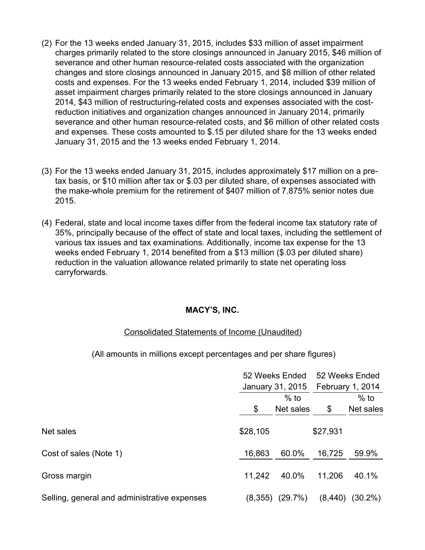- (2) For the 13 weeks ended January 31, 2015, includes \$33 million of asset impairment charges primarily related to the store closings announced in January 2015, \$46 million of severance and other human resource-related costs associated with the organization changes and store closings announced in January 2015, and \$8 million of other related costs and expenses. For the 13 weeks ended February 1, 2014, included \$39 million of asset impairment charges primarily related to the store closings announced in January 2014, \$43 million of restructuring-related costs and expenses associated with the costreduction initiatives and organization changes announced in January 2014, primarily severance and other human resource-related costs, and \$6 million of other related costs and expenses. These costs amounted to \$.15 per diluted share for the 13 weeks ended January 31, 2015 and the 13 weeks ended February 1, 2014.
- (3) For the 13 weeks ended January 31, 2015, includes approximately \$17 million on a pretax basis, or \$10 million after tax or \$.03 per diluted share, of expenses associated with the make-whole premium for the retirement of \$407 million of 7.875% senior notes due 2015.
- (4) Federal, state and local income taxes differ from the federal income tax statutory rate of 35%, principally because of the effect of state and local taxes, including the settlement of various tax issues and tax examinations. Additionally, income tax expense for the 13 weeks ended February 1, 2014 benefited from a \$13 million (\$.03 per diluted share) reduction in the valuation allowance related primarily to state net operating loss carryforwards.

#### Consolidated Statements of Income (Unaudited)

(All amounts in millions except percentages and per share figures)

|                                              |          | 52 Weeks Ended   |          | 52 Weeks Ended   |  |
|----------------------------------------------|----------|------------------|----------|------------------|--|
|                                              |          | January 31, 2015 |          | February 1, 2014 |  |
|                                              |          | $%$ to           |          | $%$ to           |  |
|                                              | \$       | Net sales        | \$       | Net sales        |  |
| Net sales                                    | \$28,105 |                  | \$27,931 |                  |  |
| Cost of sales (Note 1)                       | 16,863   | 60.0%            | 16,725   | 59.9%            |  |
| Gross margin                                 | 11,242   | 40.0%            | 11,206   | 40.1%            |  |
| Selling, general and administrative expenses | (8,355)  | (29.7%)          | (8, 440) | $(30.2\%)$       |  |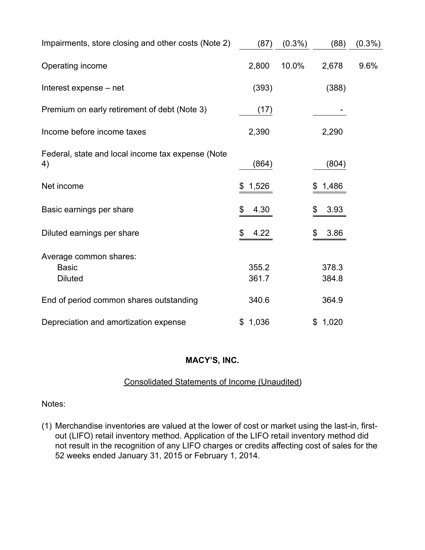| Impairments, store closing and other costs (Note 2)      | (87)           | $(0.3\%)$ | (88)           | $(0.3\%)$ |
|----------------------------------------------------------|----------------|-----------|----------------|-----------|
| Operating income                                         | 2,800          | 10.0%     | 2,678          | 9.6%      |
| Interest expense - net                                   | (393)          |           | (388)          |           |
| Premium on early retirement of debt (Note 3)             | (17)           |           |                |           |
| Income before income taxes                               | 2,390          |           | 2,290          |           |
| Federal, state and local income tax expense (Note<br>4)  | (864)          |           | (804)          |           |
| Net income                                               | 1,526<br>\$    |           | 1,486<br>\$    |           |
| Basic earnings per share                                 | \$<br>4.30     |           | \$<br>3.93     |           |
| Diluted earnings per share                               | \$<br>4.22     |           | 3.86<br>\$     |           |
| Average common shares:<br><b>Basic</b><br><b>Diluted</b> | 355.2<br>361.7 |           | 378.3<br>384.8 |           |
| End of period common shares outstanding                  | 340.6          |           | 364.9          |           |
| Depreciation and amortization expense                    | \$1,036        |           | \$1,020        |           |

# Consolidated Statements of Income (Unaudited)

Notes:

(1) Merchandise inventories are valued at the lower of cost or market using the last-in, firstout (LIFO) retail inventory method. Application of the LIFO retail inventory method did not result in the recognition of any LIFO charges or credits affecting cost of sales for the 52 weeks ended January 31, 2015 or February 1, 2014.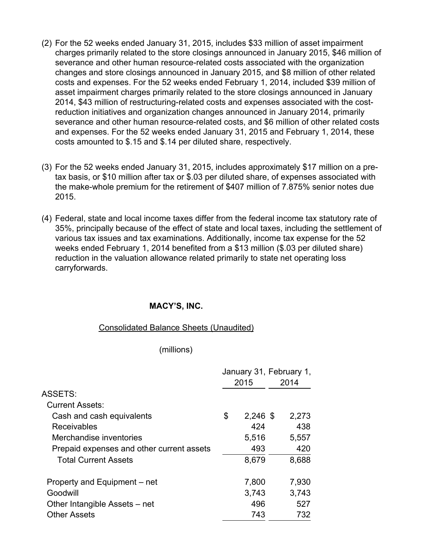- (2) For the 52 weeks ended January 31, 2015, includes \$33 million of asset impairment charges primarily related to the store closings announced in January 2015, \$46 million of severance and other human resource-related costs associated with the organization changes and store closings announced in January 2015, and \$8 million of other related costs and expenses. For the 52 weeks ended February 1, 2014, included \$39 million of asset impairment charges primarily related to the store closings announced in January 2014, \$43 million of restructuring-related costs and expenses associated with the costreduction initiatives and organization changes announced in January 2014, primarily severance and other human resource-related costs, and \$6 million of other related costs and expenses. For the 52 weeks ended January 31, 2015 and February 1, 2014, these costs amounted to \$.15 and \$.14 per diluted share, respectively.
- (3) For the 52 weeks ended January 31, 2015, includes approximately \$17 million on a pretax basis, or \$10 million after tax or \$.03 per diluted share, of expenses associated with the make-whole premium for the retirement of \$407 million of 7.875% senior notes due 2015.
- (4) Federal, state and local income taxes differ from the federal income tax statutory rate of 35%, principally because of the effect of state and local taxes, including the settlement of various tax issues and tax examinations. Additionally, income tax expense for the 52 weeks ended February 1, 2014 benefited from a \$13 million (\$.03 per diluted share) reduction in the valuation allowance related primarily to state net operating loss carryforwards.

#### Consolidated Balance Sheets (Unaudited)

#### (millions)

|                                           | January 31, February 1,<br>2015 | 2014  |
|-------------------------------------------|---------------------------------|-------|
| ASSETS:                                   |                                 |       |
| <b>Current Assets:</b>                    |                                 |       |
| Cash and cash equivalents                 | \$<br>$2,246$ \$                | 2,273 |
| Receivables                               | 424                             | 438   |
| Merchandise inventories                   | 5,516                           | 5,557 |
| Prepaid expenses and other current assets | 493                             | 420   |
| <b>Total Current Assets</b>               | 8,679                           | 8,688 |
| Property and Equipment – net              | 7,800                           | 7,930 |
| Goodwill                                  | 3,743                           | 3,743 |
| Other Intangible Assets – net             | 496                             | 527   |
| <b>Other Assets</b>                       | 743                             | 732   |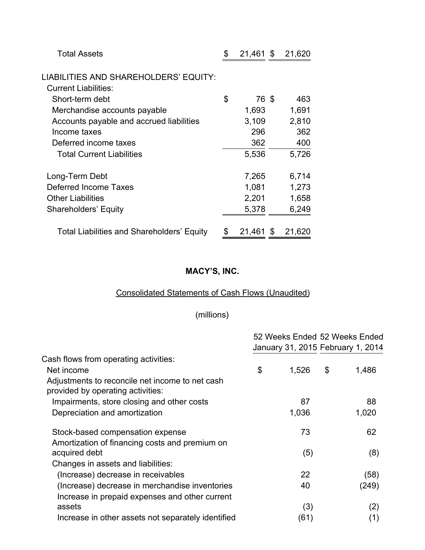| <b>Total Assets</b>                        | \$<br>$21,461$ \$ |      | 21,620 |
|--------------------------------------------|-------------------|------|--------|
| LIABILITIES AND SHAREHOLDERS' EQUITY:      |                   |      |        |
| <b>Current Liabilities:</b>                |                   |      |        |
| Short-term debt                            | \$<br>76 \$       |      | 463    |
| Merchandise accounts payable               | 1,693             |      | 1,691  |
| Accounts payable and accrued liabilities   | 3,109             |      | 2,810  |
| Income taxes                               | 296               |      | 362    |
| Deferred income taxes                      | 362               |      | 400    |
| <b>Total Current Liabilities</b>           | 5,536             |      | 5,726  |
| Long-Term Debt                             | 7,265             |      | 6,714  |
| <b>Deferred Income Taxes</b>               | 1,081             |      | 1,273  |
| <b>Other Liabilities</b>                   | 2,201             |      | 1,658  |
| <b>Shareholders' Equity</b>                | 5,378             |      | 6,249  |
| Total Liabilities and Shareholders' Equity | \$<br>21,461      | - \$ | 21,620 |

# Consolidated Statements of Cash Flows (Unaudited)

# (millions)

|                                                                                      | 52 Weeks Ended 52 Weeks Ended     |             |
|--------------------------------------------------------------------------------------|-----------------------------------|-------------|
|                                                                                      | January 31, 2015 February 1, 2014 |             |
| Cash flows from operating activities:                                                |                                   |             |
| Net income                                                                           | \$<br>1,526                       | \$<br>1,486 |
| Adjustments to reconcile net income to net cash<br>provided by operating activities: |                                   |             |
| Impairments, store closing and other costs                                           | 87                                | 88          |
| Depreciation and amortization                                                        | 1,036                             | 1,020       |
| Stock-based compensation expense                                                     | 73                                | 62          |
| Amortization of financing costs and premium on<br>acquired debt                      |                                   |             |
| Changes in assets and liabilities:                                                   | (5)                               | (8)         |
| (Increase) decrease in receivables                                                   | 22                                | (58)        |
| (Increase) decrease in merchandise inventories                                       | 40                                | (249)       |
| Increase in prepaid expenses and other current                                       |                                   |             |
| assets                                                                               | (3)                               | (2)         |
| Increase in other assets not separately identified                                   | (61)                              | (1)         |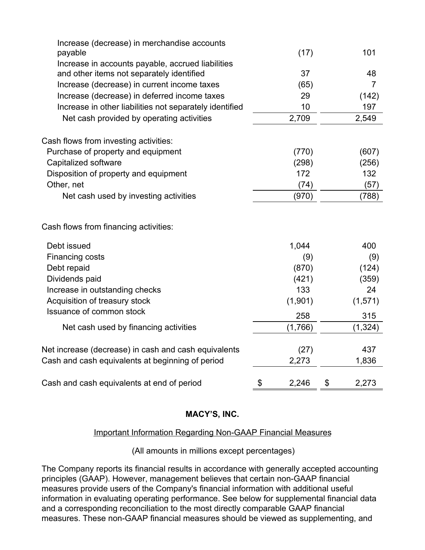| Increase (decrease) in merchandise accounts                                                    |             |      |                |
|------------------------------------------------------------------------------------------------|-------------|------|----------------|
| payable                                                                                        |             | (17) | 101            |
| Increase in accounts payable, accrued liabilities<br>and other items not separately identified |             | 37   | 48             |
| Increase (decrease) in current income taxes                                                    |             | (65) | $\overline{7}$ |
| Increase (decrease) in deferred income taxes                                                   |             | 29   | (142)          |
| Increase in other liabilities not separately identified                                        |             | 10   | 197            |
| Net cash provided by operating activities                                                      | 2,709       |      | 2,549          |
| Cash flows from investing activities:                                                          |             |      |                |
| Purchase of property and equipment                                                             | (770)       |      | (607)          |
| Capitalized software                                                                           | (298)       |      | (256)          |
| Disposition of property and equipment                                                          | 172         |      | 132            |
| Other, net                                                                                     |             | (74) | (57)           |
| Net cash used by investing activities                                                          | (970)       |      | (788)          |
| Cash flows from financing activities:                                                          |             |      |                |
| Debt issued                                                                                    | 1,044       |      | 400            |
| Financing costs                                                                                |             | (9)  | (9)            |
| Debt repaid                                                                                    | (870)       |      | (124)          |
| Dividends paid                                                                                 | (421)       |      | (359)          |
| Increase in outstanding checks                                                                 | 133         |      | 24             |
| Acquisition of treasury stock                                                                  | (1,901)     |      | (1,571)        |
| <b>Issuance of common stock</b>                                                                | 258         |      | 315            |
| Net cash used by financing activities                                                          | (1,766)     |      | (1, 324)       |
| Net increase (decrease) in cash and cash equivalents                                           |             | (27) | 437            |
| Cash and cash equivalents at beginning of period                                               | 2,273       |      | 1,836          |
| Cash and cash equivalents at end of period                                                     | \$<br>2,246 |      | 2,273          |

# Important Information Regarding Non-GAAP Financial Measures

(All amounts in millions except percentages)

The Company reports its financial results in accordance with generally accepted accounting principles (GAAP). However, management believes that certain non-GAAP financial measures provide users of the Company's financial information with additional useful information in evaluating operating performance. See below for supplemental financial data and a corresponding reconciliation to the most directly comparable GAAP financial measures. These non-GAAP financial measures should be viewed as supplementing, and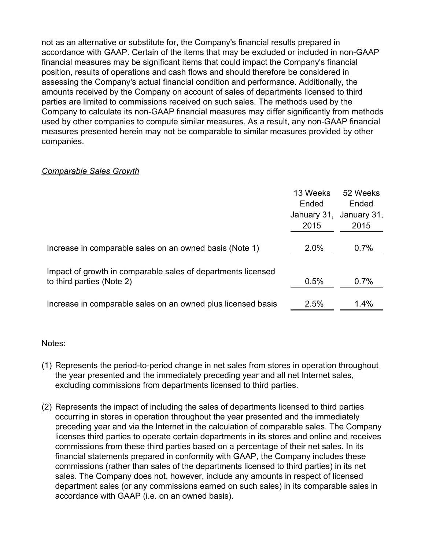not as an alternative or substitute for, the Company's financial results prepared in accordance with GAAP. Certain of the items that may be excluded or included in non-GAAP financial measures may be significant items that could impact the Company's financial position, results of operations and cash flows and should therefore be considered in assessing the Company's actual financial condition and performance. Additionally, the amounts received by the Company on account of sales of departments licensed to third parties are limited to commissions received on such sales. The methods used by the Company to calculate its non-GAAP financial measures may differ significantly from methods used by other companies to compute similar measures. As a result, any non-GAAP financial measures presented herein may not be comparable to similar measures provided by other companies.

#### *Comparable Sales Growth*

|                                                                                           | 13 Weeks<br>Ended<br>January 31,<br>2015 | 52 Weeks<br>Ended<br>January 31,<br>2015 |
|-------------------------------------------------------------------------------------------|------------------------------------------|------------------------------------------|
| Increase in comparable sales on an owned basis (Note 1)                                   | 2.0%                                     | 0.7%                                     |
| Impact of growth in comparable sales of departments licensed<br>to third parties (Note 2) | 0.5%                                     | 0.7%                                     |
| Increase in comparable sales on an owned plus licensed basis                              | 2.5%                                     | 1.4%                                     |

Notes:

- (1) Represents the period-to-period change in net sales from stores in operation throughout the year presented and the immediately preceding year and all net Internet sales, excluding commissions from departments licensed to third parties.
- (2) Represents the impact of including the sales of departments licensed to third parties occurring in stores in operation throughout the year presented and the immediately preceding year and via the Internet in the calculation of comparable sales. The Company licenses third parties to operate certain departments in its stores and online and receives commissions from these third parties based on a percentage of their net sales. In its financial statements prepared in conformity with GAAP, the Company includes these commissions (rather than sales of the departments licensed to third parties) in its net sales. The Company does not, however, include any amounts in respect of licensed department sales (or any commissions earned on such sales) in its comparable sales in accordance with GAAP (i.e. on an owned basis).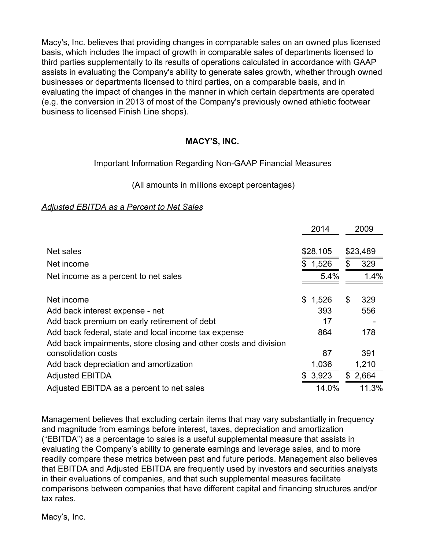Macy's, Inc. believes that providing changes in comparable sales on an owned plus licensed basis, which includes the impact of growth in comparable sales of departments licensed to third parties supplementally to its results of operations calculated in accordance with GAAP assists in evaluating the Company's ability to generate sales growth, whether through owned businesses or departments licensed to third parties, on a comparable basis, and in evaluating the impact of changes in the manner in which certain departments are operated (e.g. the conversion in 2013 of most of the Company's previously owned athletic footwear business to licensed Finish Line shops).

# **MACY'S, INC.**

#### Important Information Regarding Non-GAAP Financial Measures

#### (All amounts in millions except percentages)

#### *Adjusted EBITDA as a Percent to Net Sales*

|                                                                  | 2014        | 2009        |
|------------------------------------------------------------------|-------------|-------------|
| Net sales                                                        | \$28,105    | \$23,489    |
| Net income                                                       | \$<br>1,526 | \$<br>329   |
| Net income as a percent to net sales                             | 5.4%        | 1.4%        |
|                                                                  |             |             |
| Net income                                                       | \$<br>1,526 | \$<br>329   |
| Add back interest expense - net                                  | 393         | 556         |
| Add back premium on early retirement of debt                     | 17          |             |
| Add back federal, state and local income tax expense             | 864         | 178         |
| Add back impairments, store closing and other costs and division |             |             |
| consolidation costs                                              | 87          | 391         |
| Add back depreciation and amortization                           | 1,036       | 1,210       |
| <b>Adjusted EBITDA</b>                                           | \$3,923     | \$<br>2,664 |
| Adjusted EBITDA as a percent to net sales                        | 14.0%       | 11.3%       |

Management believes that excluding certain items that may vary substantially in frequency and magnitude from earnings before interest, taxes, depreciation and amortization ("EBITDA") as a percentage to sales is a useful supplemental measure that assists in evaluating the Company's ability to generate earnings and leverage sales, and to more readily compare these metrics between past and future periods. Management also believes that EBITDA and Adjusted EBITDA are frequently used by investors and securities analysts in their evaluations of companies, and that such supplemental measures facilitate comparisons between companies that have different capital and financing structures and/or tax rates.

Macy's, Inc.